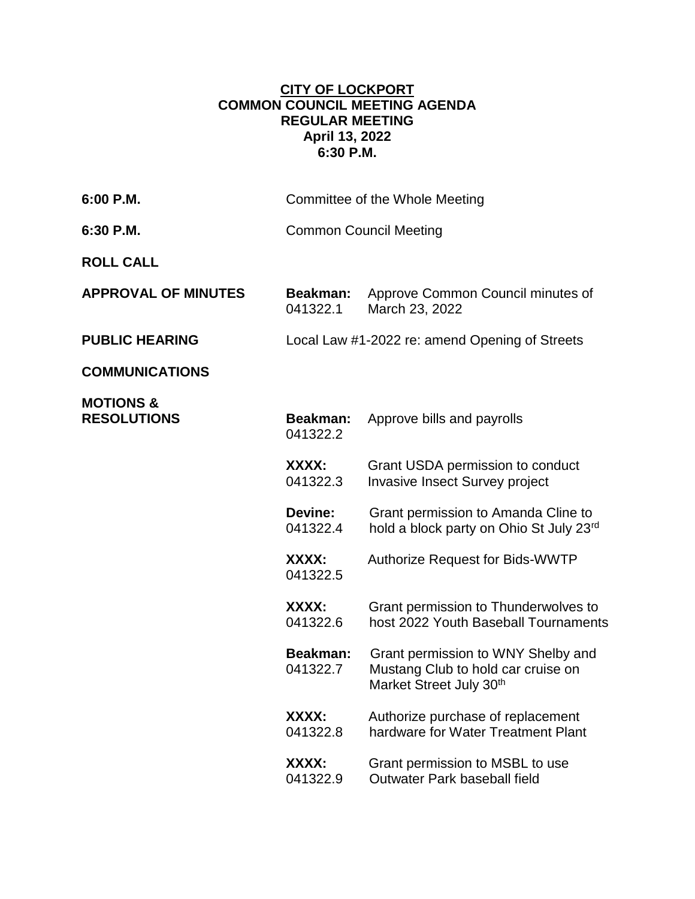## **CITY OF LOCKPORT COMMON COUNCIL MEETING AGENDA REGULAR MEETING April 13, 2022 6:30 P.M.**

| 6:00 P.M.                                  | Committee of the Whole Meeting                 |                                                                                                     |
|--------------------------------------------|------------------------------------------------|-----------------------------------------------------------------------------------------------------|
| 6:30 P.M.                                  | <b>Common Council Meeting</b>                  |                                                                                                     |
| <b>ROLL CALL</b>                           |                                                |                                                                                                     |
| <b>APPROVAL OF MINUTES</b>                 | Beakman:<br>041322.1                           | Approve Common Council minutes of<br>March 23, 2022                                                 |
| <b>PUBLIC HEARING</b>                      | Local Law #1-2022 re: amend Opening of Streets |                                                                                                     |
| <b>COMMUNICATIONS</b>                      |                                                |                                                                                                     |
| <b>MOTIONS &amp;</b><br><b>RESOLUTIONS</b> | Beakman:<br>041322.2                           | Approve bills and payrolls                                                                          |
|                                            | XXXX:<br>041322.3                              | Grant USDA permission to conduct<br><b>Invasive Insect Survey project</b>                           |
|                                            | <b>Devine:</b><br>041322.4                     | Grant permission to Amanda Cline to<br>hold a block party on Ohio St July 23rd                      |
|                                            | XXXX:<br>041322.5                              | <b>Authorize Request for Bids-WWTP</b>                                                              |
|                                            | XXXX:<br>041322.6                              | Grant permission to Thunderwolves to<br>host 2022 Youth Baseball Tournaments                        |
|                                            | <b>Beakman:</b><br>041322.7                    | Grant permission to WNY Shelby and<br>Mustang Club to hold car cruise on<br>Market Street July 30th |
|                                            | XXXX:<br>041322.8                              | Authorize purchase of replacement<br>hardware for Water Treatment Plant                             |
|                                            | XXXX:<br>041322.9                              | Grant permission to MSBL to use<br>Outwater Park baseball field                                     |